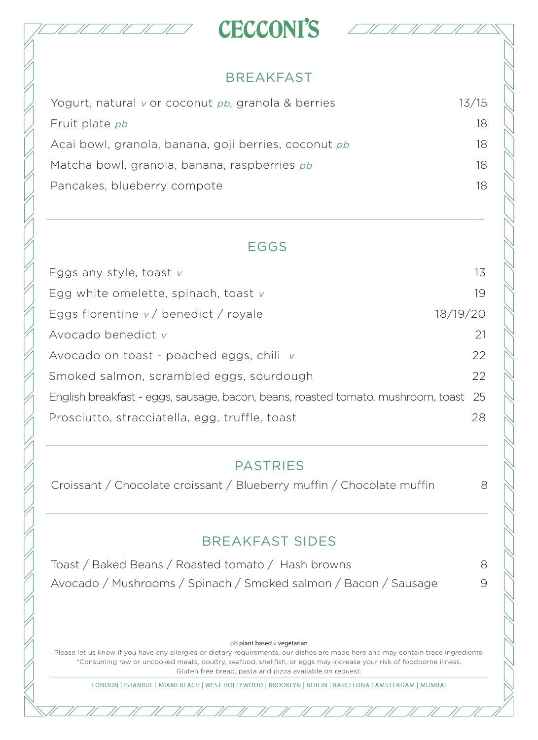



#### BREAKFAST

| Yogurt, natural v or coconut pb, granola & berries   | 13/15 |
|------------------------------------------------------|-------|
| Fruit plate pb                                       | 18    |
| Acai bowl, granola, banana, goji berries, coconut pb | 18    |
| Matcha bowl, granola, banana, raspberries pb         | 18    |
| Pancakes, blueberry compote                          | 18    |

#### EGGS

| Eggs any style, toast $v$                                                           | 13       |
|-------------------------------------------------------------------------------------|----------|
| Egg white omelette, spinach, toast $v$                                              | 19       |
| Eggs florentine $v/$ benedict / royale                                              | 18/19/20 |
| Avocado benedict $\nu$                                                              | 21       |
| Avocado on toast - poached eggs, chili $v$                                          | 22       |
| Smoked salmon, scrambled eggs, sourdough                                            | 22       |
| English breakfast - eggs, sausage, bacon, beans, roasted tomato, mushroom, toast 25 |          |
| Prosciutto, stracciatella, egg, truffle, toast                                      | 28       |

#### PASTRIES

Croissant / Chocolate croissant / Blueberry muffin / Chocolate muffin 8

### BREAKFAST SIDES

Toast / Baked Beans / Roasted tomato / Hash browns 8 Avocado / Mushrooms / Spinach / Smoked salmon / Bacon / Sausage 9

#### pb plant based v vegetarian

Please let us know if you have any allergies or dietary requirements, our dishes are made here and may contain trace ingredients. \*Consuming raw or uncooked meats, poultry, seafood, shellfish, or eggs may increase your risk of foodborne illness. Gluten free bread, pasta and pizza available on request.

LONDON | ISTANBUL | MIAMI BEACH | WEST HOLLYWOOD | BROOKLYN | BERLIN | BARCELONA | AMSTERDAM | MUMBAI